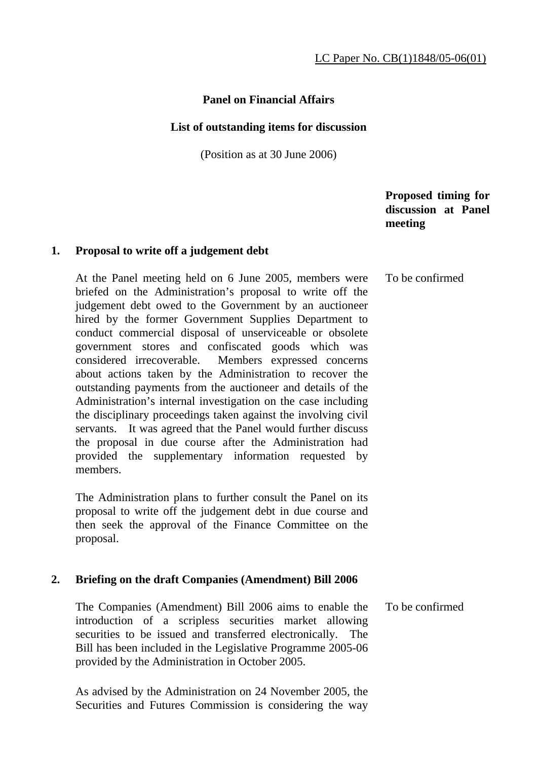# **Panel on Financial Affairs**

### **List of outstanding items for discussion**

(Position as at 30 June 2006)

 **Proposed timing for discussion at Panel meeting** 

### **1. Proposal to write off a judgement debt**

 At the Panel meeting held on 6 June 2005, members were briefed on the Administration's proposal to write off the judgement debt owed to the Government by an auctioneer hired by the former Government Supplies Department to conduct commercial disposal of unserviceable or obsolete government stores and confiscated goods which was considered irrecoverable. Members expressed concerns about actions taken by the Administration to recover the outstanding payments from the auctioneer and details of the Administration's internal investigation on the case including the disciplinary proceedings taken against the involving civil servants. It was agreed that the Panel would further discuss the proposal in due course after the Administration had provided the supplementary information requested by members. To be confirmed

 The Administration plans to further consult the Panel on its proposal to write off the judgement debt in due course and then seek the approval of the Finance Committee on the proposal.

## **2. Briefing on the draft Companies (Amendment) Bill 2006**

 The Companies (Amendment) Bill 2006 aims to enable the introduction of a scripless securities market allowing securities to be issued and transferred electronically. The Bill has been included in the Legislative Programme 2005-06 provided by the Administration in October 2005. To be confirmed

 As advised by the Administration on 24 November 2005, the Securities and Futures Commission is considering the way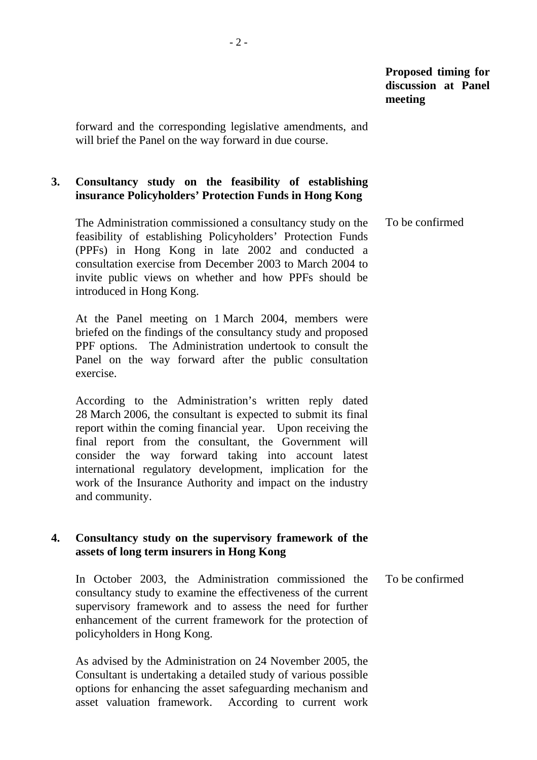forward and the corresponding legislative amendments, and will brief the Panel on the way forward in due course.

# **3. Consultancy study on the feasibility of establishing insurance Policyholders' Protection Funds in Hong Kong**

 The Administration commissioned a consultancy study on the feasibility of establishing Policyholders' Protection Funds (PPFs) in Hong Kong in late 2002 and conducted a consultation exercise from December 2003 to March 2004 to invite public views on whether and how PPFs should be introduced in Hong Kong. To be confirmed

 At the Panel meeting on 1 March 2004, members were briefed on the findings of the consultancy study and proposed PPF options. The Administration undertook to consult the Panel on the way forward after the public consultation exercise.

 According to the Administration's written reply dated 28 March 2006, the consultant is expected to submit its final report within the coming financial year. Upon receiving the final report from the consultant, the Government will consider the way forward taking into account latest international regulatory development, implication for the work of the Insurance Authority and impact on the industry and community.

## **4. Consultancy study on the supervisory framework of the assets of long term insurers in Hong Kong**

 In October 2003, the Administration commissioned the consultancy study to examine the effectiveness of the current supervisory framework and to assess the need for further enhancement of the current framework for the protection of policyholders in Hong Kong. To be confirmed

 As advised by the Administration on 24 November 2005, the Consultant is undertaking a detailed study of various possible options for enhancing the asset safeguarding mechanism and asset valuation framework. According to current work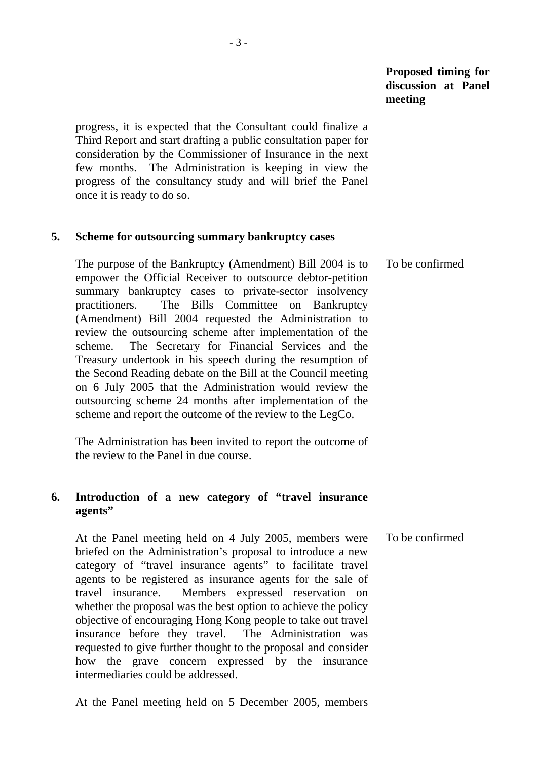## **Proposed timing for discussion at Panel meeting**

progress, it is expected that the Consultant could finalize a Third Report and start drafting a public consultation paper for consideration by the Commissioner of Insurance in the next few months. The Administration is keeping in view the progress of the consultancy study and will brief the Panel once it is ready to do so.

### **5. Scheme for outsourcing summary bankruptcy cases**

 The purpose of the Bankruptcy (Amendment) Bill 2004 is to empower the Official Receiver to outsource debtor-petition summary bankruptcy cases to private-sector insolvency practitioners. The Bills Committee on Bankruptcy (Amendment) Bill 2004 requested the Administration to review the outsourcing scheme after implementation of the scheme. The Secretary for Financial Services and the Treasury undertook in his speech during the resumption of the Second Reading debate on the Bill at the Council meeting on 6 July 2005 that the Administration would review the outsourcing scheme 24 months after implementation of the scheme and report the outcome of the review to the LegCo. To be confirmed

 The Administration has been invited to report the outcome of the review to the Panel in due course.

## **6. Introduction of a new category of "travel insurance agents"**

 At the Panel meeting held on 4 July 2005, members were briefed on the Administration's proposal to introduce a new category of "travel insurance agents" to facilitate travel agents to be registered as insurance agents for the sale of travel insurance. Members expressed reservation on whether the proposal was the best option to achieve the policy objective of encouraging Hong Kong people to take out travel insurance before they travel. The Administration was requested to give further thought to the proposal and consider how the grave concern expressed by the insurance intermediaries could be addressed. To be confirmed

At the Panel meeting held on 5 December 2005, members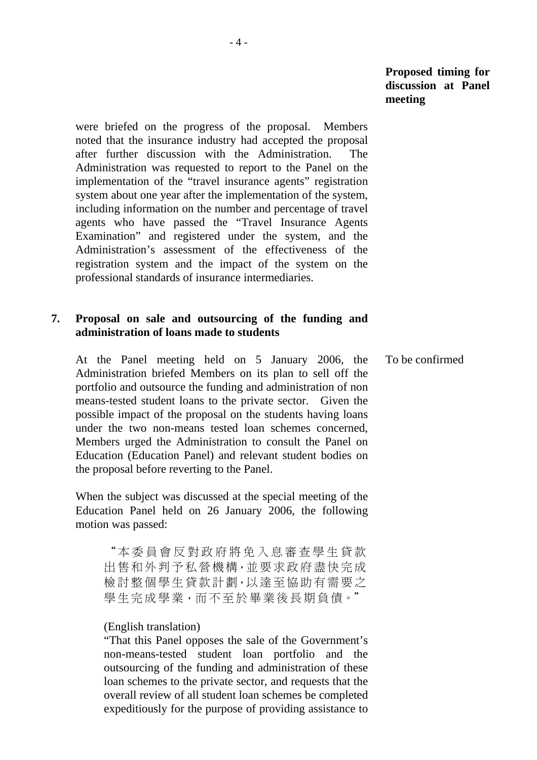**Proposed timing for discussion at Panel meeting** 

were briefed on the progress of the proposal. Members noted that the insurance industry had accepted the proposal after further discussion with the Administration. The Administration was requested to report to the Panel on the implementation of the "travel insurance agents" registration system about one year after the implementation of the system, including information on the number and percentage of travel agents who have passed the "Travel Insurance Agents Examination" and registered under the system, and the Administration's assessment of the effectiveness of the registration system and the impact of the system on the professional standards of insurance intermediaries.

## **7. Proposal on sale and outsourcing of the funding and administration of loans made to students**

 At the Panel meeting held on 5 January 2006, the Administration briefed Members on its plan to sell off the portfolio and outsource the funding and administration of non means-tested student loans to the private sector. Given the possible impact of the proposal on the students having loans under the two non-means tested loan schemes concerned, Members urged the Administration to consult the Panel on Education (Education Panel) and relevant student bodies on the proposal before reverting to the Panel.

 When the subject was discussed at the special meeting of the Education Panel held on 26 January 2006, the following motion was passed:

"本委員會反對政府將免入息審查學生貸款 出售和外判予私營機構,並要求政府盡快完成 檢討整個學生貸款計劃,以達至協助有需要之 學生完成學業,而不至於畢業後長期負債。"

#### (English translation)

"That this Panel opposes the sale of the Government's non-means-tested student loan portfolio and the outsourcing of the funding and administration of these loan schemes to the private sector, and requests that the overall review of all student loan schemes be completed expeditiously for the purpose of providing assistance to To be confirmed